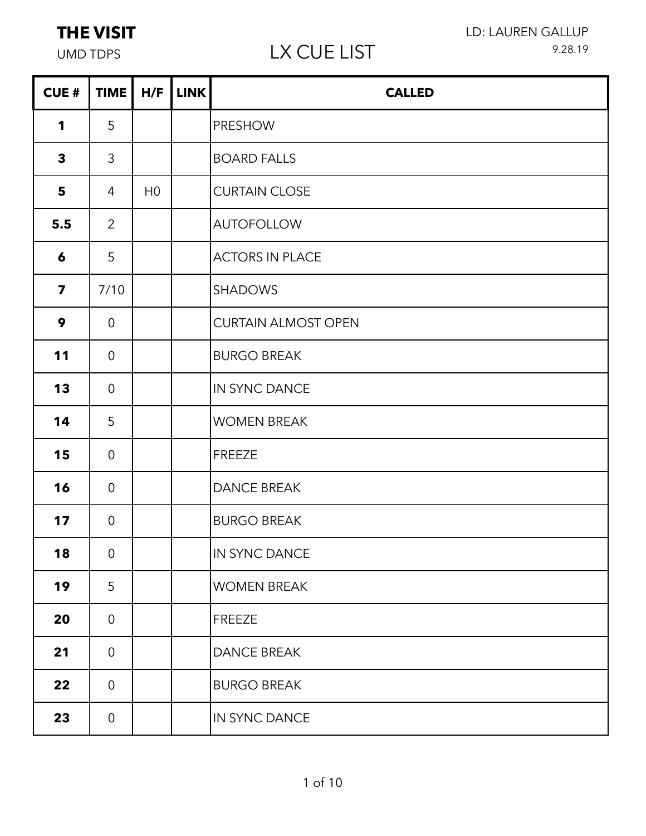# UMD TDPS LX CUE LIST

LD: LAUREN GALLUP 9.28.19

| <b>CUE#</b>             | <b>TIME</b>    | H/F            | <b>LINK</b> | <b>CALLED</b>              |
|-------------------------|----------------|----------------|-------------|----------------------------|
| $\mathbf 1$             | 5              |                |             | <b>PRESHOW</b>             |
| $\mathbf{3}$            | 3              |                |             | <b>BOARD FALLS</b>         |
| 5                       | $\overline{4}$ | H <sub>0</sub> |             | <b>CURTAIN CLOSE</b>       |
| 5.5                     | $\overline{2}$ |                |             | <b>AUTOFOLLOW</b>          |
| 6                       | 5              |                |             | <b>ACTORS IN PLACE</b>     |
| $\overline{\mathbf{z}}$ | 7/10           |                |             | <b>SHADOWS</b>             |
| 9                       | $\overline{0}$ |                |             | <b>CURTAIN ALMOST OPEN</b> |
| 11                      | $\overline{0}$ |                |             | <b>BURGO BREAK</b>         |
| 13                      | $\overline{0}$ |                |             | IN SYNC DANCE              |
| 14                      | 5              |                |             | <b>WOMEN BREAK</b>         |
| 15                      | $\overline{0}$ |                |             | <b>FREEZE</b>              |
| 16                      | $\overline{0}$ |                |             | <b>DANCE BREAK</b>         |
| 17                      | $\overline{0}$ |                |             | <b>BURGO BREAK</b>         |
| 18                      | $\overline{0}$ |                |             | IN SYNC DANCE              |
| 19                      | 5              |                |             | <b>WOMEN BREAK</b>         |
| 20                      | $\overline{0}$ |                |             | <b>FREEZE</b>              |
| 21                      | $\overline{0}$ |                |             | <b>DANCE BREAK</b>         |
| 22                      | $\overline{0}$ |                |             | <b>BURGO BREAK</b>         |
| 23                      | $\overline{0}$ |                |             | IN SYNC DANCE              |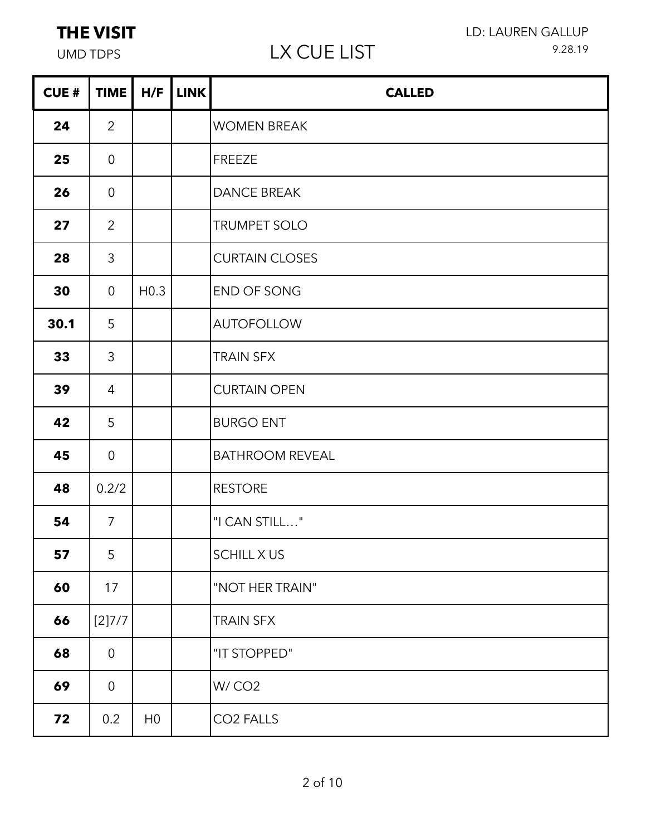| <b>CUE#</b> | <b>TIME</b>    | H/F              | <b>LINK</b> | <b>CALLED</b>          |
|-------------|----------------|------------------|-------------|------------------------|
| 24          | $\overline{2}$ |                  |             | <b>WOMEN BREAK</b>     |
| 25          | $\overline{0}$ |                  |             | <b>FREEZE</b>          |
| 26          | $\overline{0}$ |                  |             | <b>DANCE BREAK</b>     |
| 27          | $\overline{2}$ |                  |             | TRUMPET SOLO           |
| 28          | $\mathfrak{Z}$ |                  |             | <b>CURTAIN CLOSES</b>  |
| 30          | $\overline{0}$ | H <sub>0.3</sub> |             | END OF SONG            |
| 30.1        | 5              |                  |             | <b>AUTOFOLLOW</b>      |
| 33          | 3              |                  |             | <b>TRAIN SFX</b>       |
| 39          | $\overline{4}$ |                  |             | <b>CURTAIN OPEN</b>    |
| 42          | 5              |                  |             | <b>BURGO ENT</b>       |
| 45          | $\overline{0}$ |                  |             | <b>BATHROOM REVEAL</b> |
| 48          | 0.2/2          |                  |             | <b>RESTORE</b>         |
| 54          | $\overline{7}$ |                  |             | "I CAN STILL"          |
| 57          | 5 <sup>5</sup> |                  |             | <b>SCHILL X US</b>     |
| 60          | 17             |                  |             | "NOT HER TRAIN"        |
| 66          | [2]7/7         |                  |             | <b>TRAIN SFX</b>       |
| 68          | $\overline{0}$ |                  |             | "IT STOPPED"           |
| 69          | $\overline{0}$ |                  |             | W/CO <sub>2</sub>      |
| 72          | 0.2            | H <sub>0</sub>   |             | CO <sub>2</sub> FALLS  |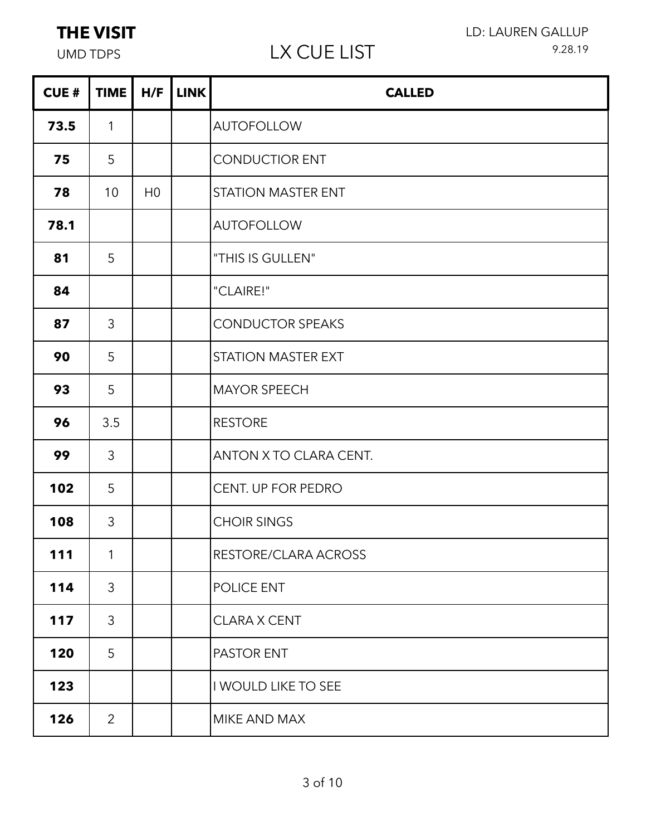# UMD TDPS LX CUE LIST

÷

| <b>CUE#</b> | TIME           | H/F            | <b>LINK</b> | <b>CALLED</b>             |
|-------------|----------------|----------------|-------------|---------------------------|
| 73.5        | $\mathbf{1}$   |                |             | <b>AUTOFOLLOW</b>         |
| 75          | 5              |                |             | <b>CONDUCTIOR ENT</b>     |
| 78          | 10             | H <sub>0</sub> |             | <b>STATION MASTER ENT</b> |
| 78.1        |                |                |             | <b>AUTOFOLLOW</b>         |
| 81          | 5              |                |             | "THIS IS GULLEN"          |
| 84          |                |                |             | "CLAIRE!"                 |
| 87          | 3              |                |             | <b>CONDUCTOR SPEAKS</b>   |
| 90          | 5              |                |             | <b>STATION MASTER EXT</b> |
| 93          | 5              |                |             | <b>MAYOR SPEECH</b>       |
| 96          | 3.5            |                |             | <b>RESTORE</b>            |
| 99          | 3              |                |             | ANTON X TO CLARA CENT.    |
| 102         | 5              |                |             | CENT. UP FOR PEDRO        |
| 108         | 3              |                |             | <b>CHOIR SINGS</b>        |
| 111         | $\mathbf{1}$   |                |             | RESTORE/CLARA ACROSS      |
| 114         | $\mathfrak{Z}$ |                |             | POLICE ENT                |
| 117         | 3              |                |             | <b>CLARA X CENT</b>       |
| 120         | 5              |                |             | PASTOR ENT                |
| 123         |                |                |             | I WOULD LIKE TO SEE       |
| 126         | $\overline{2}$ |                |             | MIKE AND MAX              |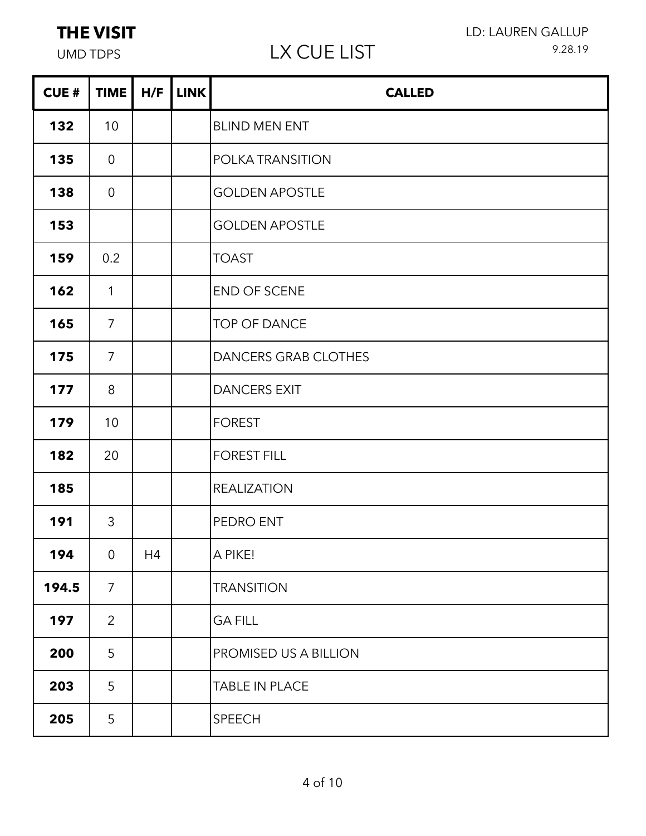| <b>CUE#</b> | <b>TIME</b>    | H/F | <b>LINK</b> | <b>CALLED</b>               |
|-------------|----------------|-----|-------------|-----------------------------|
| 132         | 10             |     |             | <b>BLIND MEN ENT</b>        |
| 135         | $\overline{0}$ |     |             | POLKA TRANSITION            |
| 138         | $\overline{0}$ |     |             | <b>GOLDEN APOSTLE</b>       |
| 153         |                |     |             | <b>GOLDEN APOSTLE</b>       |
| 159         | 0.2            |     |             | <b>TOAST</b>                |
| 162         | $\mathbf{1}$   |     |             | END OF SCENE                |
| 165         | $\overline{7}$ |     |             | <b>TOP OF DANCE</b>         |
| 175         | $\overline{7}$ |     |             | <b>DANCERS GRAB CLOTHES</b> |
| 177         | 8              |     |             | <b>DANCERS EXIT</b>         |
| 179         | 10             |     |             | <b>FOREST</b>               |
| 182         | 20             |     |             | <b>FOREST FILL</b>          |
| 185         |                |     |             | <b>REALIZATION</b>          |
| 191         | 3              |     |             | PEDRO ENT                   |
| 194         | $\overline{0}$ | H4  |             | A PIKE!                     |
| 194.5       | $\overline{7}$ |     |             | <b>TRANSITION</b>           |
| 197         | $\overline{2}$ |     |             | <b>GA FILL</b>              |
| 200         | 5              |     |             | PROMISED US A BILLION       |
| 203         | 5              |     |             | TABLE IN PLACE              |
| 205         | 5              |     |             | SPEECH                      |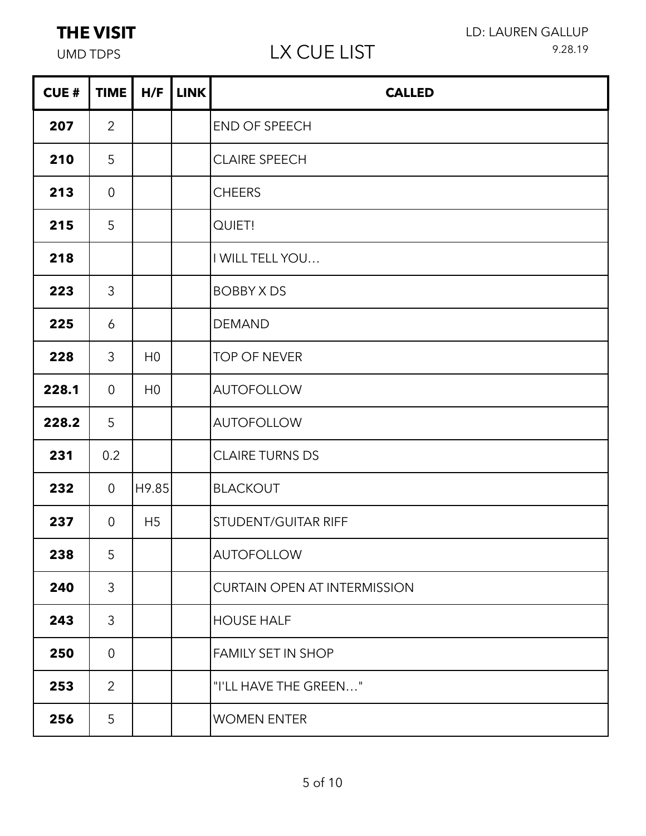# UMD TDPS LX CUE LIST

| <b>CUE#</b> | <b>TIME</b>    | H/F            | <b>LINK</b> | <b>CALLED</b>                       |
|-------------|----------------|----------------|-------------|-------------------------------------|
| 207         | $\overline{2}$ |                |             | END OF SPEECH                       |
| 210         | 5              |                |             | <b>CLAIRE SPEECH</b>                |
| 213         | $\overline{0}$ |                |             | <b>CHEERS</b>                       |
| 215         | 5              |                |             | <b>QUIET!</b>                       |
| 218         |                |                |             | I WILL TELL YOU                     |
| 223         | 3              |                |             | <b>BOBBY X DS</b>                   |
| 225         | 6              |                |             | <b>DEMAND</b>                       |
| 228         | 3              | H <sub>0</sub> |             | <b>TOP OF NEVER</b>                 |
| 228.1       | $\overline{0}$ | H <sub>0</sub> |             | <b>AUTOFOLLOW</b>                   |
| 228.2       | 5              |                |             | <b>AUTOFOLLOW</b>                   |
| 231         | 0.2            |                |             | <b>CLAIRE TURNS DS</b>              |
| 232         | $\overline{0}$ | H9.85          |             | <b>BLACKOUT</b>                     |
| 237         | $\overline{0}$ | H <sub>5</sub> |             | STUDENT/GUITAR RIFF                 |
| 238         | 5              |                |             | <b>AUTOFOLLOW</b>                   |
| 240         | $\mathcal{S}$  |                |             | <b>CURTAIN OPEN AT INTERMISSION</b> |
| 243         | 3              |                |             | <b>HOUSE HALF</b>                   |
| 250         | $\overline{0}$ |                |             | <b>FAMILY SET IN SHOP</b>           |
| 253         | $\overline{2}$ |                |             | "I'LL HAVE THE GREEN"               |
| 256         | 5              |                |             | <b>WOMEN ENTER</b>                  |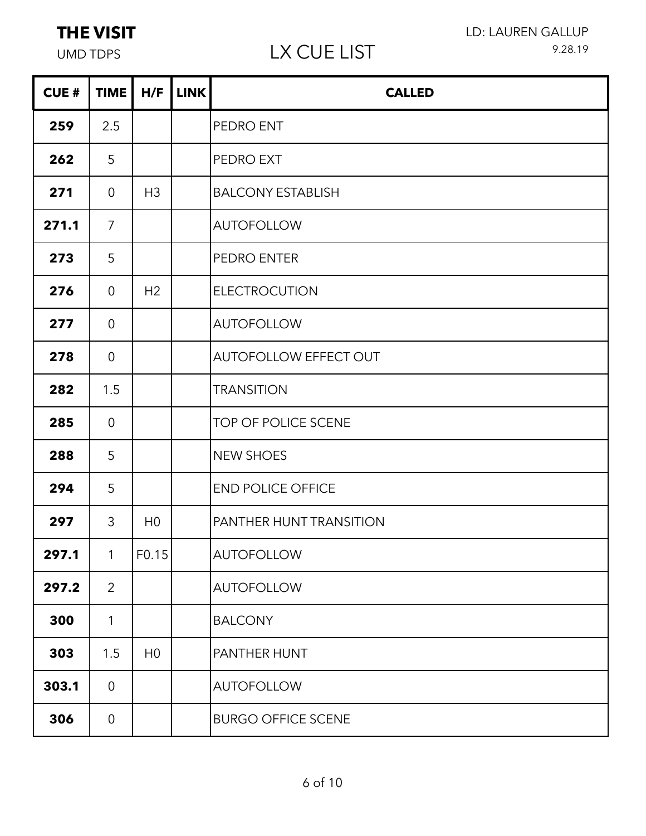| <b>CUE#</b> | <b>TIME</b>    | H/F            | <b>LINK</b> | <b>CALLED</b>                  |
|-------------|----------------|----------------|-------------|--------------------------------|
| 259         | 2.5            |                |             | PEDRO ENT                      |
| 262         | 5              |                |             | <b>PEDRO EXT</b>               |
| 271         | $\overline{0}$ | H <sub>3</sub> |             | <b>BALCONY ESTABLISH</b>       |
| 271.1       | $\overline{7}$ |                |             | <b>AUTOFOLLOW</b>              |
| 273         | 5              |                |             | PEDRO ENTER                    |
| 276         | $\overline{0}$ | H2             |             | <b>ELECTROCUTION</b>           |
| 277         | $\overline{0}$ |                |             | <b>AUTOFOLLOW</b>              |
| 278         | $\overline{0}$ |                |             | AUTOFOLLOW EFFECT OUT          |
| 282         | 1.5            |                |             | <b>TRANSITION</b>              |
| 285         | $\overline{0}$ |                |             | TOP OF POLICE SCENE            |
| 288         | 5              |                |             | <b>NEW SHOES</b>               |
| 294         | 5              |                |             | <b>END POLICE OFFICE</b>       |
| 297         | 3              | H <sub>0</sub> |             | <b>PANTHER HUNT TRANSITION</b> |
| 297.1       | $\mathbf{1}$   | F0.15          |             | AUTOFOLLOW                     |
| 297.2       | $\overline{2}$ |                |             | <b>AUTOFOLLOW</b>              |
| 300         | 1              |                |             | <b>BALCONY</b>                 |
| 303         | 1.5            | H <sub>0</sub> |             | <b>PANTHER HUNT</b>            |
| 303.1       | $\overline{0}$ |                |             | <b>AUTOFOLLOW</b>              |
| 306         | $\overline{0}$ |                |             | <b>BURGO OFFICE SCENE</b>      |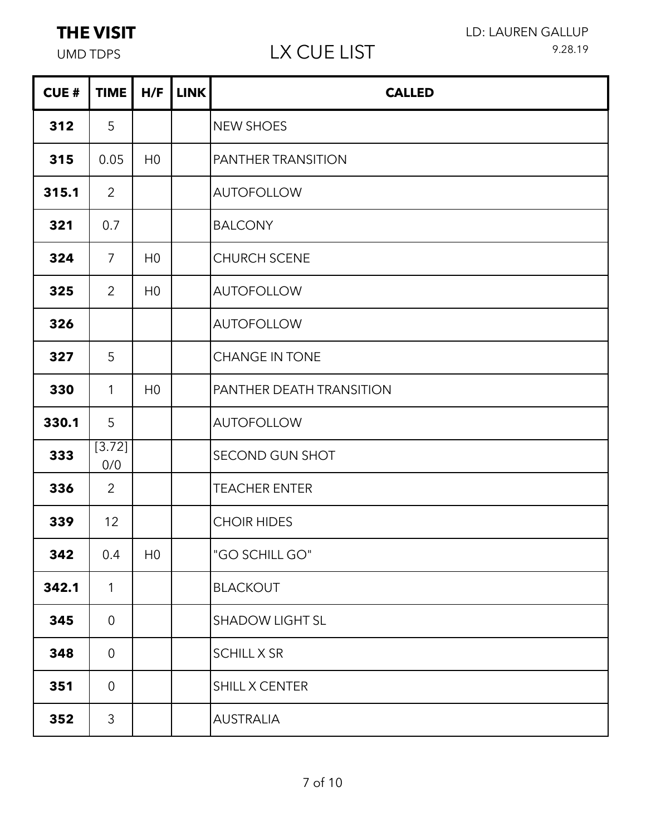## UMD TDPS LX CUE LIST

LD: LAUREN GALLUP 9.28.19

| <b>CUE#</b> | <b>TIME</b>    | H/F            | <b>LINK</b> | <b>CALLED</b>             |
|-------------|----------------|----------------|-------------|---------------------------|
| 312         | 5              |                |             | <b>NEW SHOES</b>          |
| 315         | 0.05           | H <sub>0</sub> |             | <b>PANTHER TRANSITION</b> |
| 315.1       | $\overline{2}$ |                |             | <b>AUTOFOLLOW</b>         |
| 321         | 0.7            |                |             | <b>BALCONY</b>            |
| 324         | $\overline{7}$ | H <sub>0</sub> |             | <b>CHURCH SCENE</b>       |
| 325         | $\overline{2}$ | H <sub>0</sub> |             | <b>AUTOFOLLOW</b>         |
| 326         |                |                |             | <b>AUTOFOLLOW</b>         |
| 327         | 5              |                |             | <b>CHANGE IN TONE</b>     |
| 330         | $\mathbf{1}$   | H <sub>0</sub> |             | PANTHER DEATH TRANSITION  |
| 330.1       | 5              |                |             | <b>AUTOFOLLOW</b>         |
| 333         | [3.72]<br>0/0  |                |             | SECOND GUN SHOT           |
| 336         | $\overline{2}$ |                |             | <b>TEACHER ENTER</b>      |
| 339         | 12             |                |             | <b>CHOIR HIDES</b>        |
| 342         | 0.4            | H <sub>0</sub> |             | "GO SCHILL GO"            |
| 342.1       | $\mathbf{1}$   |                |             | <b>BLACKOUT</b>           |
| 345         | $\overline{0}$ |                |             | <b>SHADOW LIGHT SL</b>    |
| 348         | $\overline{0}$ |                |             | <b>SCHILL X SR</b>        |
| 351         | $\overline{0}$ |                |             | SHILL X CENTER            |
| 352         | $\mathfrak{Z}$ |                |             | <b>AUSTRALIA</b>          |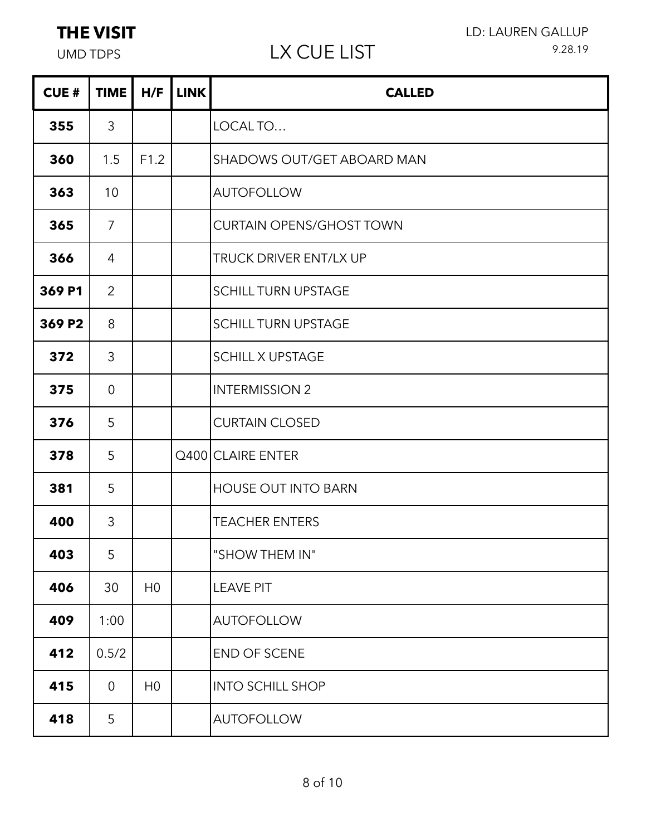### UMD TDPS LX CUE LIST

÷

| <b>CUE#</b> | <b>TIME</b>    | H/F            | <b>LINK</b> | <b>CALLED</b>                   |
|-------------|----------------|----------------|-------------|---------------------------------|
| 355         | 3              |                |             | LOCAL TO                        |
| 360         | 1.5            | F1.2           |             | SHADOWS OUT/GET ABOARD MAN      |
| 363         | 10             |                |             | <b>AUTOFOLLOW</b>               |
| 365         | $\overline{7}$ |                |             | <b>CURTAIN OPENS/GHOST TOWN</b> |
| 366         | 4              |                |             | <b>TRUCK DRIVER ENT/LX UP</b>   |
| 369 P1      | $\overline{2}$ |                |             | <b>SCHILL TURN UPSTAGE</b>      |
| 369 P2      | 8              |                |             | <b>SCHILL TURN UPSTAGE</b>      |
| 372         | 3              |                |             | <b>SCHILL X UPSTAGE</b>         |
| 375         | $\overline{0}$ |                |             | <b>INTERMISSION 2</b>           |
| 376         | 5              |                |             | <b>CURTAIN CLOSED</b>           |
| 378         | 5              |                |             | Q400 CLAIRE ENTER               |
| 381         | 5              |                |             | <b>HOUSE OUT INTO BARN</b>      |
| 400         | 3              |                |             | <b>TEACHER ENTERS</b>           |
| 403         | 5              |                |             | "SHOW THEM IN"                  |
| 406         | 30             | H <sub>0</sub> |             | <b>LEAVE PIT</b>                |
| 409         | 1:00           |                |             | <b>AUTOFOLLOW</b>               |
| 412         | 0.5/2          |                |             | END OF SCENE                    |
| 415         | $\overline{0}$ | H <sub>0</sub> |             | <b>INTO SCHILL SHOP</b>         |
| 418         | 5              |                |             | <b>AUTOFOLLOW</b>               |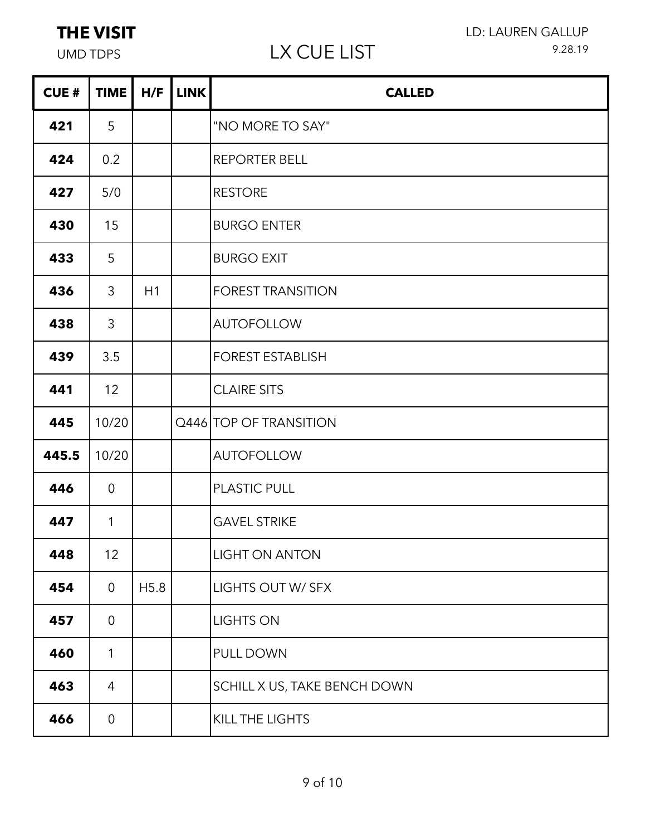| <b>CUE#</b> | <b>TIME</b>     | H/F  | <b>LINK</b> | <b>CALLED</b>                |
|-------------|-----------------|------|-------------|------------------------------|
| 421         | 5               |      |             | "NO MORE TO SAY"             |
| 424         | 0.2             |      |             | <b>REPORTER BELL</b>         |
| 427         | 5/0             |      |             | <b>RESTORE</b>               |
| 430         | 15              |      |             | <b>BURGO ENTER</b>           |
| 433         | 5               |      |             | <b>BURGO EXIT</b>            |
| 436         | 3               | H1   |             | <b>FOREST TRANSITION</b>     |
| 438         | 3               |      |             | <b>AUTOFOLLOW</b>            |
| 439         | 3.5             |      |             | <b>FOREST ESTABLISH</b>      |
| 441         | 12              |      |             | <b>CLAIRE SITS</b>           |
| 445         | 10/20           |      |             | Q446 TOP OF TRANSITION       |
| 445.5       | 10/20           |      |             | <b>AUTOFOLLOW</b>            |
| 446         | $\overline{0}$  |      |             | <b>PLASTIC PULL</b>          |
| 447         | $\mathbf{1}$    |      |             | <b>GAVEL STRIKE</b>          |
| 448         | 12 <sup>°</sup> |      |             | LIGHT ON ANTON               |
| 454         | $\overline{0}$  | H5.8 |             | LIGHTS OUT W/ SFX            |
| 457         | $\overline{0}$  |      |             | <b>LIGHTS ON</b>             |
| 460         | 1               |      |             | PULL DOWN                    |
| 463         | 4               |      |             | SCHILL X US, TAKE BENCH DOWN |
| 466         | $\overline{0}$  |      |             | KILL THE LIGHTS              |